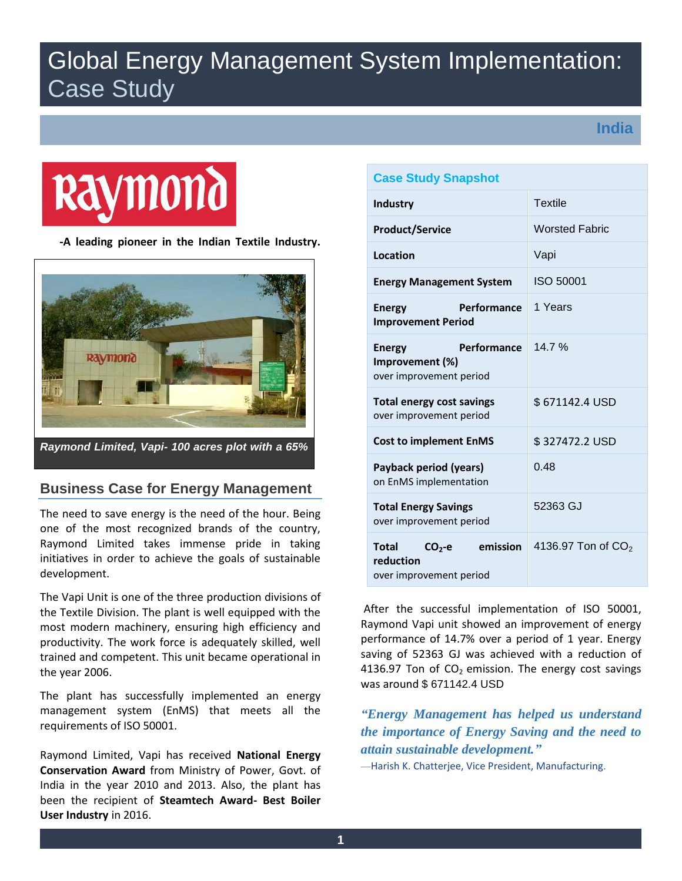# Global Energy Management System Implementation: Case Study

**India**



 **-A leading pioneer in the Indian Textile Industry.**



## **Business Case for Energy Management**

The need to save energy is the need of the hour. Being one of the most recognized brands of the country, Raymond Limited takes immense pride in taking initiatives in order to achieve the goals of sustainable development.

The Vapi Unit is one of the three production divisions of the Textile Division. The plant is well equipped with the most modern machinery, ensuring high efficiency and productivity. The work force is adequately skilled, well trained and competent. This unit became operational in the year 2006.

The plant has successfully implemented an energy management system (EnMS) that meets all the requirements of ISO 50001.

Raymond Limited, Vapi has received **National Energy Conservation Award** from Ministry of Power, Govt. of India in the year 2010 and 2013. Also, the plant has been the recipient of **Steamtech Award- Best Boiler User Industry** in 2016.

| <b>Case Study Snapshot</b>                                                  |                                |
|-----------------------------------------------------------------------------|--------------------------------|
| <b>Industry</b>                                                             | <b>Textile</b>                 |
| <b>Product/Service</b>                                                      | <b>Worsted Fabric</b>          |
| Location                                                                    | Vapi                           |
| <b>Energy Management System</b>                                             | <b>ISO 50001</b>               |
| Performance<br><b>Energy</b><br><b>Improvement Period</b>                   | 1 Years                        |
| Performance<br><b>Energy</b><br>Improvement (%)<br>over improvement period  | 14.7%                          |
| <b>Total energy cost savings</b><br>over improvement period                 | \$671142.4 USD                 |
| <b>Cost to implement EnMS</b>                                               | \$327472.2 USD                 |
| Payback period (years)<br>on EnMS implementation                            | 0.48                           |
| <b>Total Energy Savings</b><br>over improvement period                      | 52363 GJ                       |
| emission<br><b>Total</b><br>$CO2-e$<br>reduction<br>over improvement period | 4136.97 Ton of CO <sub>2</sub> |

 After the successful implementation of ISO 50001, Raymond Vapi unit showed an improvement of energy performance of 14.7% over a period of 1 year. Energy saving of 52363 GJ was achieved with a reduction of 4136.97 Ton of  $CO<sub>2</sub>$  emission. The energy cost savings was around \$ 671142.4 USD

*"Energy Management has helped us understand the importance of Energy Saving and the need to attain sustainable development."*

—Harish K. Chatterjee, Vice President, Manufacturing.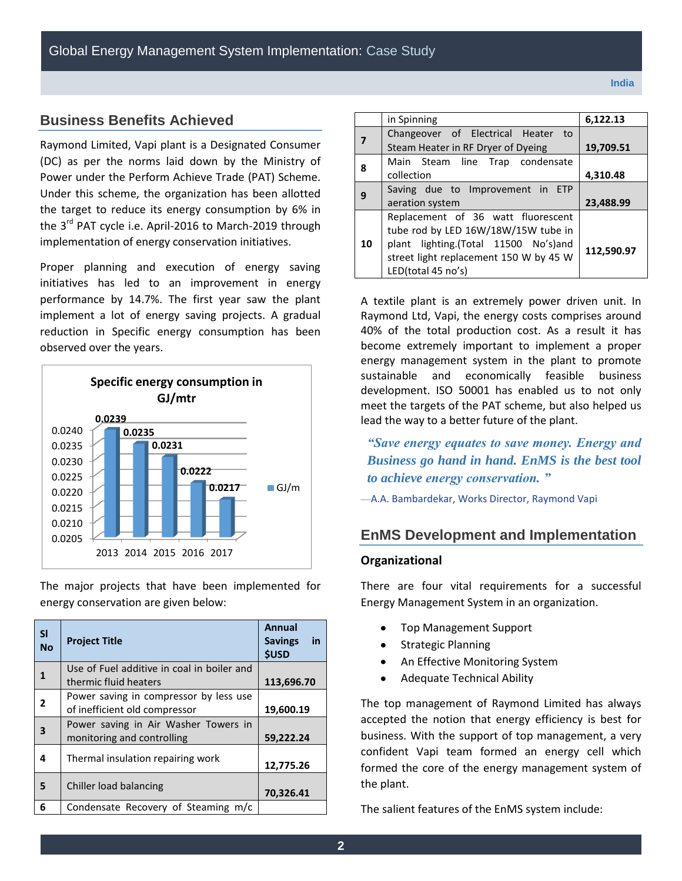## **Business Benefits Achieved**

Raymond Limited, Vapi plant is a Designated Consumer (DC) as per the norms laid down by the Ministry of Power under the Perform Achieve Trade (PAT) Scheme. Under this scheme, the organization has been allotted the target to reduce its energy consumption by 6% in the 3<sup>rd</sup> PAT cycle i.e. April-2016 to March-2019 through implementation of energy conservation initiatives.

Proper planning and execution of energy saving initiatives has led to an improvement in energy performance by 14.7%. The first year saw the plant implement a lot of energy saving projects. A gradual reduction in Specific energy consumption has been observed over the years.



The major projects that have been implemented for energy conservation are given below:

| <b>SI</b><br><b>No</b> | <b>Project Title</b>                                                    | Annual<br>in<br><b>Savings</b><br><b>\$USD</b> |
|------------------------|-------------------------------------------------------------------------|------------------------------------------------|
| 1                      | Use of Fuel additive in coal in boiler and<br>thermic fluid heaters     | 113,696.70                                     |
| 2                      | Power saving in compressor by less use<br>of inefficient old compressor | 19,600.19                                      |
| 3                      | Power saving in Air Washer Towers in<br>monitoring and controlling      | 59,222.24                                      |
| 4                      | Thermal insulation repairing work                                       | 12,775.26                                      |
| 5                      | Chiller load balancing                                                  | 70,326.41                                      |
| 6                      | Condensate Recovery of Steaming m/c                                     |                                                |

|    | in Spinning                            | 6,122.13   |
|----|----------------------------------------|------------|
|    | Changeover of Electrical Heater to     |            |
|    | Steam Heater in RF Dryer of Dyeing     | 19,709.51  |
| 8  | Main Steam line Trap condensate        |            |
|    | collection                             | 4,310.48   |
| 9  | Saving due to Improvement in ETP       |            |
|    | aeration system                        | 23,488.99  |
|    | Replacement of 36 watt fluorescent     |            |
|    | tube rod by LED 16W/18W/15W tube in    |            |
| 10 | plant lighting.(Total 11500 No's)and   | 112,590.97 |
|    | street light replacement 150 W by 45 W |            |
|    | LED(total 45 no's)                     |            |

A textile plant is an extremely power driven unit. In Raymond Ltd, Vapi, the energy costs comprises around 40% of the total production cost. As a result it has become extremely important to implement a proper energy management system in the plant to promote sustainable and economically feasible business development. ISO 50001 has enabled us to not only meet the targets of the PAT scheme, but also helped us lead the way to a better future of the plant.

*"Save energy equates to save money. Energy and Business go hand in hand. EnMS is the best tool to achieve energy conservation. "*

—A.A. Bambardekar, Works Director, Raymond Vapi

## **EnMS Development and Implementation**

#### **Organizational**

There are four vital requirements for a successful Energy Management System in an organization.

- Top Management Support
- Strategic Planning
- An Effective Monitoring System
- Adequate Technical Ability

The top management of Raymond Limited has always accepted the notion that energy efficiency is best for business. With the support of top management, a very confident Vapi team formed an energy cell which formed the core of the energy management system of the plant.

The salient features of the EnMS system include: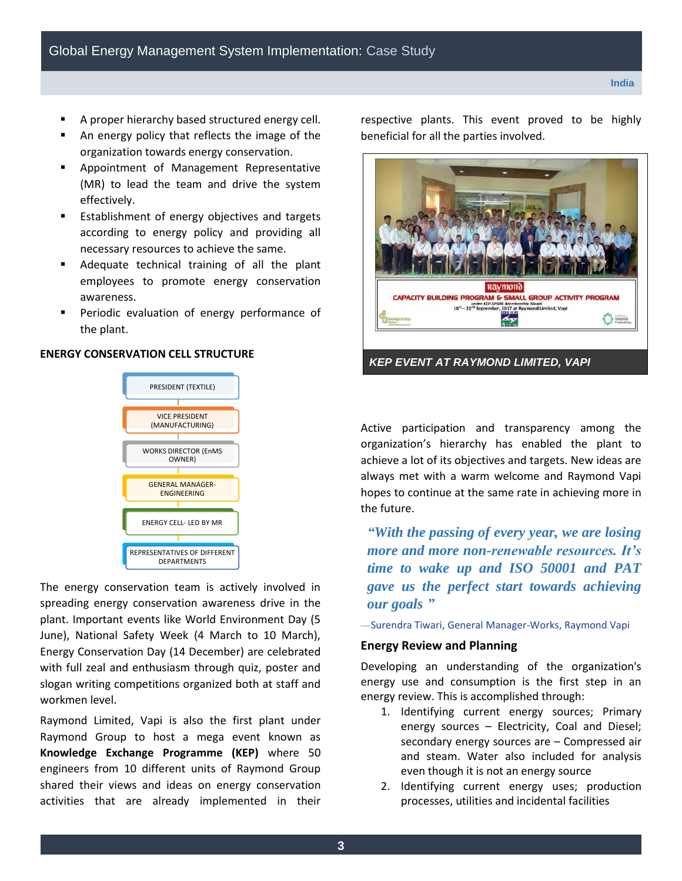- A proper hierarchy based structured energy cell.
- An energy policy that reflects the image of the organization towards energy conservation.
- Appointment of Management Representative (MR) to lead the team and drive the system effectively.
- **Establishment of energy objectives and targets** according to energy policy and providing all necessary resources to achieve the same.
- Adequate technical training of all the plant employees to promote energy conservation awareness.
- Periodic evaluation of energy performance of the plant.

#### **ENERGY CONSERVATION CELL STRUCTURE**



The energy conservation team is actively involved in spreading energy conservation awareness drive in the plant. Important events like World Environment Day (5 June), National Safety Week (4 March to 10 March), Energy Conservation Day (14 December) are celebrated with full zeal and enthusiasm through quiz, poster and slogan writing competitions organized both at staff and workmen level.

Raymond Limited, Vapi is also the first plant under Raymond Group to host a mega event known as **Knowledge Exchange Programme (KEP)** where 50 engineers from 10 different units of Raymond Group shared their views and ideas on energy conservation activities that are already implemented in their

respective plants. This event proved to be highly beneficial for all the parties involved.



Active participation and transparency among the organization's hierarchy has enabled the plant to achieve a lot of its objectives and targets. New ideas are always met with a warm welcome and Raymond Vapi hopes to continue at the same rate in achieving more in the future.

*"With the passing of every year, we are losing more and more non-renewable resources. It's time to wake up and ISO 50001 and PAT gave us the perfect start towards achieving our goals "*

—Surendra Tiwari, General Manager-Works, Raymond Vapi

#### **Energy Review and Planning**

Developing an understanding of the organization's energy use and consumption is the first step in an energy review. This is accomplished through:

- 1. Identifying current energy sources; Primary energy sources – Electricity, Coal and Diesel; secondary energy sources are – Compressed air and steam. Water also included for analysis even though it is not an energy source
- 2. Identifying current energy uses; production processes, utilities and incidental facilities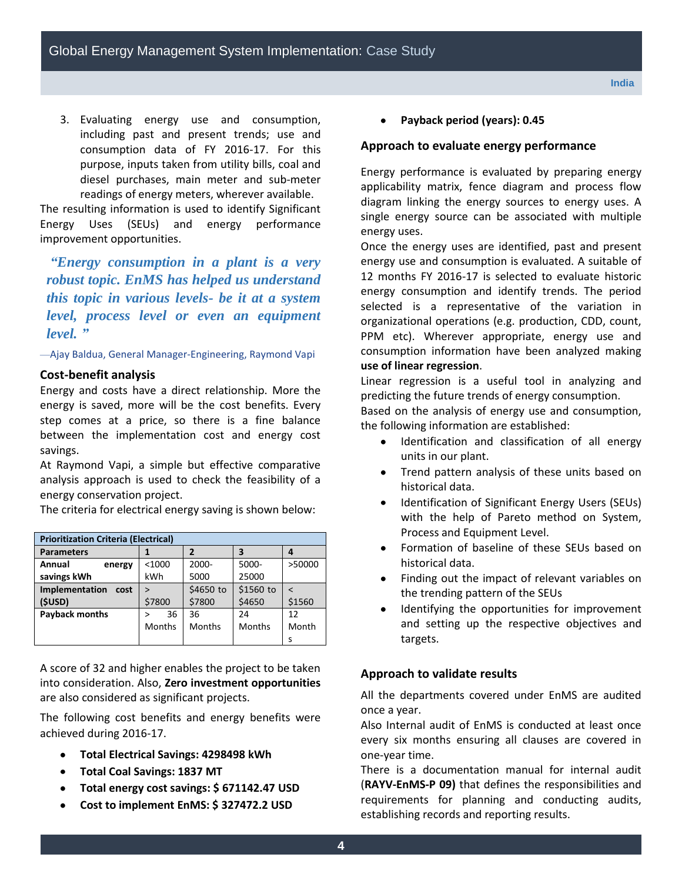3. Evaluating energy use and consumption, including past and present trends; use and consumption data of FY 2016-17. For this purpose, inputs taken from utility bills, coal and diesel purchases, main meter and sub-meter readings of energy meters, wherever available.

The resulting information is used to identify Significant Energy Uses (SEUs) and energy performance improvement opportunities.

*"Energy consumption in a plant is a very robust topic. EnMS has helped us understand this topic in various levels- be it at a system level, process level or even an equipment level. "*

—Ajay Baldua, General Manager-Engineering, Raymond Vapi

#### **Cost-benefit analysis**

Energy and costs have a direct relationship. More the energy is saved, more will be the cost benefits. Every step comes at a price, so there is a fine balance between the implementation cost and energy cost savings.

At Raymond Vapi, a simple but effective comparative analysis approach is used to check the feasibility of a energy conservation project.

The criteria for electrical energy saving is shown below:

| <b>Prioritization Criteria (Electrical)</b> |              |               |           |        |
|---------------------------------------------|--------------|---------------|-----------|--------|
| <b>Parameters</b>                           |              | 2             |           |        |
| Annual<br>energy                            | $<$ 1000     | 2000-         | 5000-     | >50000 |
| savings kWh                                 | kWh          | 5000          | 25000     |        |
| Implementation<br>cost                      | $\mathbf{v}$ | \$4650 to     | \$1560 to |        |
| (\$USD)                                     | \$7800       | \$7800        | \$4650    | \$1560 |
| <b>Payback months</b>                       | 36           | 36            | 24        | 12     |
|                                             | Months       | <b>Months</b> | Months    | Month  |
|                                             |              |               |           | S      |

A score of 32 and higher enables the project to be taken into consideration. Also, **Zero investment opportunities**  are also considered as significant projects.

The following cost benefits and energy benefits were achieved during 2016-17.

- **Total Electrical Savings: 4298498 kWh**
- **Total Coal Savings: 1837 MT**  $\bullet$
- **Total energy cost savings: \$ 671142.47 USD**
- **Cost to implement EnMS: \$ 327472.2 USD**

**Payback period (years): 0.45** 

#### **Approach to evaluate energy performance**

Energy performance is evaluated by preparing energy applicability matrix, fence diagram and process flow diagram linking the energy sources to energy uses. A single energy source can be associated with multiple energy uses.

Once the energy uses are identified, past and present energy use and consumption is evaluated. A suitable of 12 months FY 2016-17 is selected to evaluate historic energy consumption and identify trends. The period selected is a representative of the variation in organizational operations (e.g. production, CDD, count, PPM etc). Wherever appropriate, energy use and consumption information have been analyzed making **use of linear regression**.

Linear regression is a useful tool in analyzing and predicting the future trends of energy consumption.

Based on the analysis of energy use and consumption, the following information are established:

- Identification and classification of all energy  $\bullet$ units in our plant.
- Trend pattern analysis of these units based on historical data.
- Identification of Significant Energy Users (SEUs) with the help of Pareto method on System, Process and Equipment Level.
- Formation of baseline of these SEUs based on  $\bullet$ historical data.
- Finding out the impact of relevant variables on the trending pattern of the SEUs
- Identifying the opportunities for improvement and setting up the respective objectives and targets.

#### **Approach to validate results**

All the departments covered under EnMS are audited once a year.

Also Internal audit of EnMS is conducted at least once every six months ensuring all clauses are covered in one-year time.

There is a documentation manual for internal audit (**RAYV-EnMS-P 09)** that defines the responsibilities and requirements for planning and conducting audits, establishing records and reporting results.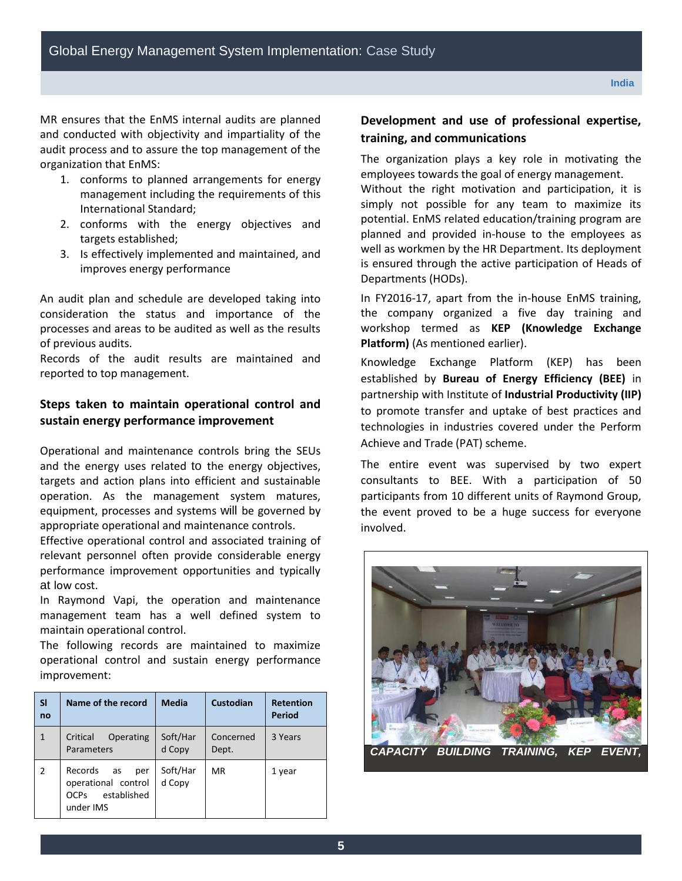MR ensures that the EnMS internal audits are planned and conducted with objectivity and impartiality of the audit process and to assure the top management of the organization that EnMS:

- 1. conforms to planned arrangements for energy management including the requirements of this International Standard;
- 2. conforms with the energy objectives and targets established;
- 3. Is effectively implemented and maintained, and improves energy performance

An audit plan and schedule are developed taking into consideration the status and importance of the processes and areas to be audited as well as the results of previous audits.

Records of the audit results are maintained and reported to top management.

## **Steps taken to maintain operational control and sustain energy performance improvement**

Operational and maintenance controls bring the SEUs and the energy uses related to the energy objectives, targets and action plans into efficient and sustainable operation. As the management system matures, equipment, processes and systems will be governed by appropriate operational and maintenance controls.

Effective operational control and associated training of relevant personnel often provide considerable energy performance improvement opportunities and typically at low cost.

In Raymond Vapi, the operation and maintenance management team has a well defined system to maintain operational control.

The following records are maintained to maximize operational control and sustain energy performance improvement:

| SI<br>no     | Name of the record                                                              | <b>Media</b>       | Custodian          | <b>Retention</b><br>Period |
|--------------|---------------------------------------------------------------------------------|--------------------|--------------------|----------------------------|
| $\mathbf{1}$ | Critical<br>Operating<br>Parameters                                             | Soft/Har<br>d Copy | Concerned<br>Dept. | 3 Years                    |
| 2            | Records<br>as<br>per<br>operational control<br>established<br>OCPs<br>under IMS | Soft/Har<br>d Copy | MR                 | 1 year                     |

## **Development and use of professional expertise, training, and communications**

The organization plays a key role in motivating the employees towards the goal of energy management.

Without the right motivation and participation, it is simply not possible for any team to maximize its potential. EnMS related education/training program are planned and provided in-house to the employees as well as workmen by the HR Department. Its deployment is ensured through the active participation of Heads of Departments (HODs).

In FY2016-17, apart from the in-house EnMS training, the company organized a five day training and workshop termed as **KEP (Knowledge Exchange Platform)** (As mentioned earlier).

Knowledge Exchange Platform (KEP) has been established by **Bureau of Energy Efficiency (BEE)** in partnership with Institute of **Industrial Productivity (IIP)** to promote transfer and uptake of best practices and technologies in industries covered under the Perform Achieve and Trade (PAT) scheme.

The entire event was supervised by two expert consultants to BEE. With a participation of 50 participants from 10 different units of Raymond Group, the event proved to be a huge success for everyone involved.